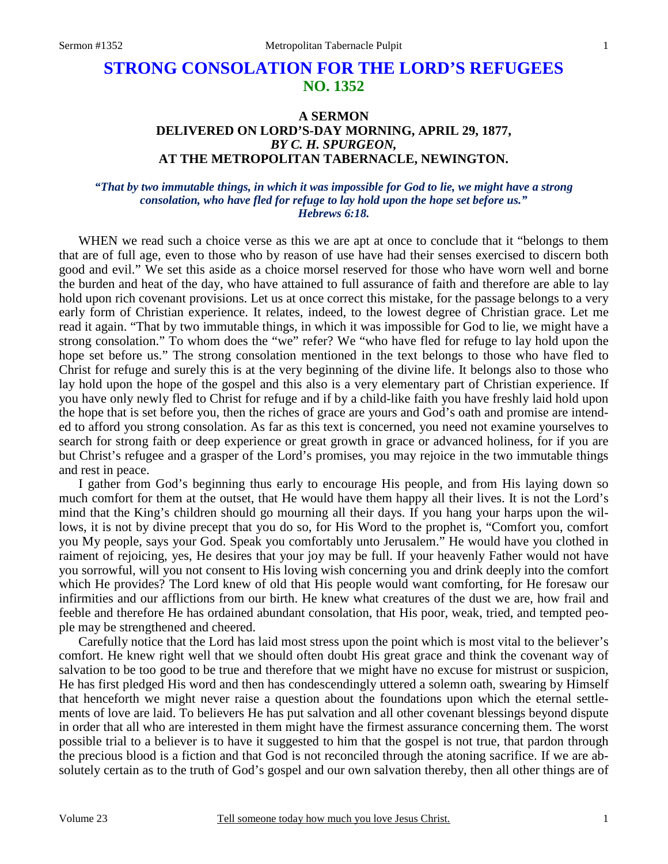## **STRONG CONSOLATION FOR THE LORD'S REFUGEES NO. 1352**

## **A SERMON DELIVERED ON LORD'S-DAY MORNING, APRIL 29, 1877,**  *BY C. H. SPURGEON,*  **AT THE METROPOLITAN TABERNACLE, NEWINGTON.**

## *"That by two immutable things, in which it was impossible for God to lie, we might have a strong consolation, who have fled for refuge to lay hold upon the hope set before us." Hebrews 6:18.*

WHEN we read such a choice verse as this we are apt at once to conclude that it "belongs to them that are of full age, even to those who by reason of use have had their senses exercised to discern both good and evil." We set this aside as a choice morsel reserved for those who have worn well and borne the burden and heat of the day, who have attained to full assurance of faith and therefore are able to lay hold upon rich covenant provisions. Let us at once correct this mistake, for the passage belongs to a very early form of Christian experience. It relates, indeed, to the lowest degree of Christian grace. Let me read it again. "That by two immutable things, in which it was impossible for God to lie, we might have a strong consolation." To whom does the "we" refer? We "who have fled for refuge to lay hold upon the hope set before us." The strong consolation mentioned in the text belongs to those who have fled to Christ for refuge and surely this is at the very beginning of the divine life. It belongs also to those who lay hold upon the hope of the gospel and this also is a very elementary part of Christian experience. If you have only newly fled to Christ for refuge and if by a child-like faith you have freshly laid hold upon the hope that is set before you, then the riches of grace are yours and God's oath and promise are intended to afford you strong consolation. As far as this text is concerned, you need not examine yourselves to search for strong faith or deep experience or great growth in grace or advanced holiness, for if you are but Christ's refugee and a grasper of the Lord's promises, you may rejoice in the two immutable things and rest in peace.

I gather from God's beginning thus early to encourage His people, and from His laying down so much comfort for them at the outset, that He would have them happy all their lives. It is not the Lord's mind that the King's children should go mourning all their days. If you hang your harps upon the willows, it is not by divine precept that you do so, for His Word to the prophet is, "Comfort you, comfort you My people, says your God. Speak you comfortably unto Jerusalem." He would have you clothed in raiment of rejoicing, yes, He desires that your joy may be full. If your heavenly Father would not have you sorrowful, will you not consent to His loving wish concerning you and drink deeply into the comfort which He provides? The Lord knew of old that His people would want comforting, for He foresaw our infirmities and our afflictions from our birth. He knew what creatures of the dust we are, how frail and feeble and therefore He has ordained abundant consolation, that His poor, weak, tried, and tempted people may be strengthened and cheered.

Carefully notice that the Lord has laid most stress upon the point which is most vital to the believer's comfort. He knew right well that we should often doubt His great grace and think the covenant way of salvation to be too good to be true and therefore that we might have no excuse for mistrust or suspicion, He has first pledged His word and then has condescendingly uttered a solemn oath, swearing by Himself that henceforth we might never raise a question about the foundations upon which the eternal settlements of love are laid. To believers He has put salvation and all other covenant blessings beyond dispute in order that all who are interested in them might have the firmest assurance concerning them. The worst possible trial to a believer is to have it suggested to him that the gospel is not true, that pardon through the precious blood is a fiction and that God is not reconciled through the atoning sacrifice. If we are absolutely certain as to the truth of God's gospel and our own salvation thereby, then all other things are of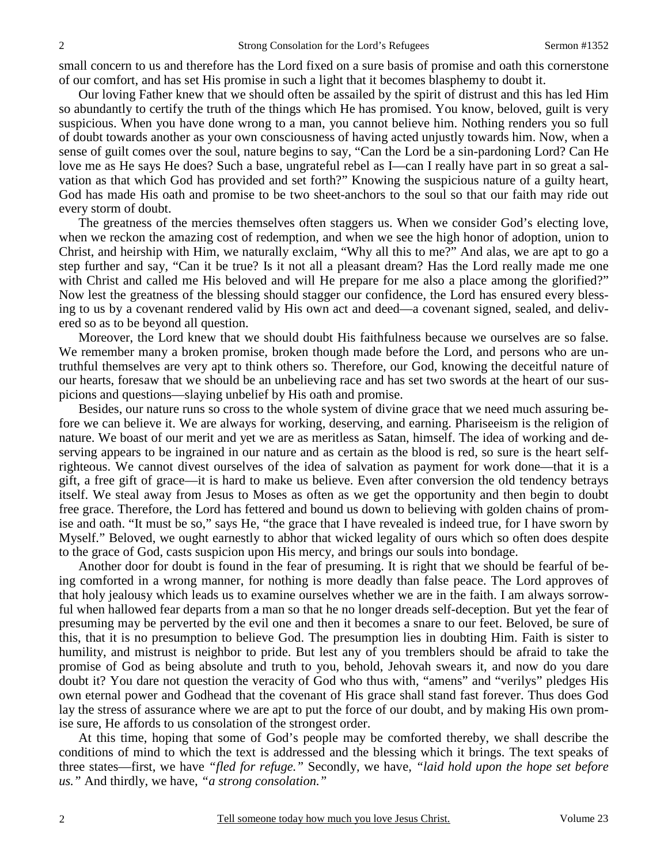small concern to us and therefore has the Lord fixed on a sure basis of promise and oath this cornerstone of our comfort, and has set His promise in such a light that it becomes blasphemy to doubt it.

Our loving Father knew that we should often be assailed by the spirit of distrust and this has led Him so abundantly to certify the truth of the things which He has promised. You know, beloved, guilt is very suspicious. When you have done wrong to a man, you cannot believe him. Nothing renders you so full of doubt towards another as your own consciousness of having acted unjustly towards him. Now, when a sense of guilt comes over the soul, nature begins to say, "Can the Lord be a sin-pardoning Lord? Can He love me as He says He does? Such a base, ungrateful rebel as I—can I really have part in so great a salvation as that which God has provided and set forth?" Knowing the suspicious nature of a guilty heart, God has made His oath and promise to be two sheet-anchors to the soul so that our faith may ride out every storm of doubt.

The greatness of the mercies themselves often staggers us. When we consider God's electing love, when we reckon the amazing cost of redemption, and when we see the high honor of adoption, union to Christ, and heirship with Him, we naturally exclaim, "Why all this to me?" And alas, we are apt to go a step further and say, "Can it be true? Is it not all a pleasant dream? Has the Lord really made me one with Christ and called me His beloved and will He prepare for me also a place among the glorified?" Now lest the greatness of the blessing should stagger our confidence, the Lord has ensured every blessing to us by a covenant rendered valid by His own act and deed—a covenant signed, sealed, and delivered so as to be beyond all question.

Moreover, the Lord knew that we should doubt His faithfulness because we ourselves are so false. We remember many a broken promise, broken though made before the Lord, and persons who are untruthful themselves are very apt to think others so. Therefore, our God, knowing the deceitful nature of our hearts, foresaw that we should be an unbelieving race and has set two swords at the heart of our suspicions and questions—slaying unbelief by His oath and promise.

Besides, our nature runs so cross to the whole system of divine grace that we need much assuring before we can believe it. We are always for working, deserving, and earning. Phariseeism is the religion of nature. We boast of our merit and yet we are as meritless as Satan, himself. The idea of working and deserving appears to be ingrained in our nature and as certain as the blood is red, so sure is the heart selfrighteous. We cannot divest ourselves of the idea of salvation as payment for work done—that it is a gift, a free gift of grace—it is hard to make us believe. Even after conversion the old tendency betrays itself. We steal away from Jesus to Moses as often as we get the opportunity and then begin to doubt free grace. Therefore, the Lord has fettered and bound us down to believing with golden chains of promise and oath. "It must be so," says He, "the grace that I have revealed is indeed true, for I have sworn by Myself." Beloved, we ought earnestly to abhor that wicked legality of ours which so often does despite to the grace of God, casts suspicion upon His mercy, and brings our souls into bondage.

Another door for doubt is found in the fear of presuming. It is right that we should be fearful of being comforted in a wrong manner, for nothing is more deadly than false peace. The Lord approves of that holy jealousy which leads us to examine ourselves whether we are in the faith. I am always sorrowful when hallowed fear departs from a man so that he no longer dreads self-deception. But yet the fear of presuming may be perverted by the evil one and then it becomes a snare to our feet. Beloved, be sure of this, that it is no presumption to believe God. The presumption lies in doubting Him. Faith is sister to humility, and mistrust is neighbor to pride. But lest any of you tremblers should be afraid to take the promise of God as being absolute and truth to you, behold, Jehovah swears it, and now do you dare doubt it? You dare not question the veracity of God who thus with, "amens" and "verilys" pledges His own eternal power and Godhead that the covenant of His grace shall stand fast forever. Thus does God lay the stress of assurance where we are apt to put the force of our doubt, and by making His own promise sure, He affords to us consolation of the strongest order.

At this time, hoping that some of God's people may be comforted thereby, we shall describe the conditions of mind to which the text is addressed and the blessing which it brings. The text speaks of three states—first, we have *"fled for refuge."* Secondly, we have, *"laid hold upon the hope set before us."* And thirdly, we have, *"a strong consolation."*

2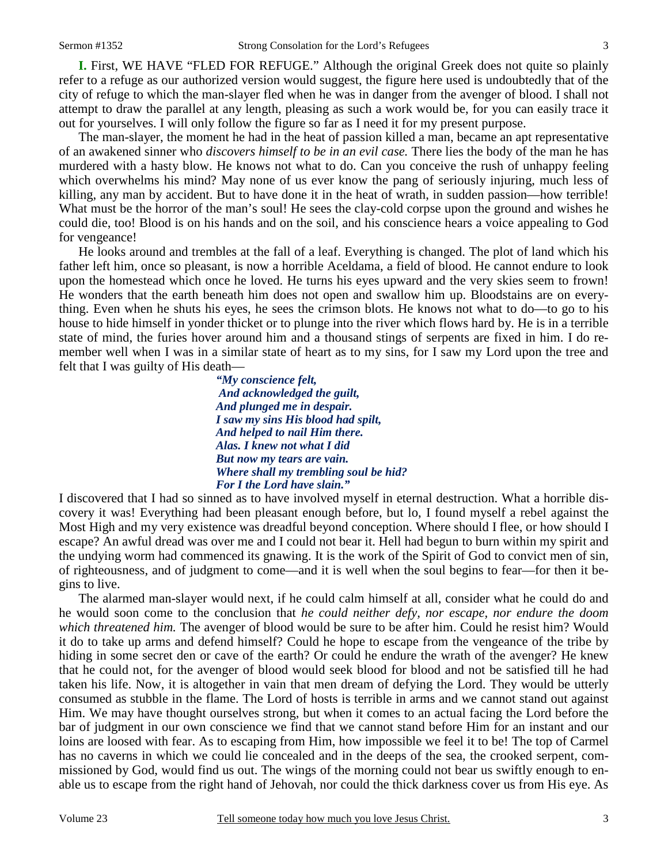**I.** First, WE HAVE "FLED FOR REFUGE." Although the original Greek does not quite so plainly refer to a refuge as our authorized version would suggest, the figure here used is undoubtedly that of the city of refuge to which the man-slayer fled when he was in danger from the avenger of blood. I shall not attempt to draw the parallel at any length, pleasing as such a work would be, for you can easily trace it out for yourselves. I will only follow the figure so far as I need it for my present purpose.

The man-slayer, the moment he had in the heat of passion killed a man, became an apt representative of an awakened sinner who *discovers himself to be in an evil case.* There lies the body of the man he has murdered with a hasty blow. He knows not what to do. Can you conceive the rush of unhappy feeling which overwhelms his mind? May none of us ever know the pang of seriously injuring, much less of killing, any man by accident. But to have done it in the heat of wrath, in sudden passion—how terrible! What must be the horror of the man's soul! He sees the clay-cold corpse upon the ground and wishes he could die, too! Blood is on his hands and on the soil, and his conscience hears a voice appealing to God for vengeance!

He looks around and trembles at the fall of a leaf. Everything is changed. The plot of land which his father left him, once so pleasant, is now a horrible Aceldama, a field of blood. He cannot endure to look upon the homestead which once he loved. He turns his eyes upward and the very skies seem to frown! He wonders that the earth beneath him does not open and swallow him up. Bloodstains are on everything. Even when he shuts his eyes, he sees the crimson blots. He knows not what to do—to go to his house to hide himself in yonder thicket or to plunge into the river which flows hard by. He is in a terrible state of mind, the furies hover around him and a thousand stings of serpents are fixed in him. I do remember well when I was in a similar state of heart as to my sins, for I saw my Lord upon the tree and felt that I was guilty of His death—

> *"My conscience felt, And acknowledged the guilt, And plunged me in despair. I saw my sins His blood had spilt, And helped to nail Him there. Alas. I knew not what I did But now my tears are vain. Where shall my trembling soul be hid? For I the Lord have slain."*

I discovered that I had so sinned as to have involved myself in eternal destruction. What a horrible discovery it was! Everything had been pleasant enough before, but lo, I found myself a rebel against the Most High and my very existence was dreadful beyond conception. Where should I flee, or how should I escape? An awful dread was over me and I could not bear it. Hell had begun to burn within my spirit and the undying worm had commenced its gnawing. It is the work of the Spirit of God to convict men of sin, of righteousness, and of judgment to come—and it is well when the soul begins to fear—for then it begins to live.

The alarmed man-slayer would next, if he could calm himself at all, consider what he could do and he would soon come to the conclusion that *he could neither defy, nor escape, nor endure the doom which threatened him.* The avenger of blood would be sure to be after him. Could he resist him? Would it do to take up arms and defend himself? Could he hope to escape from the vengeance of the tribe by hiding in some secret den or cave of the earth? Or could he endure the wrath of the avenger? He knew that he could not, for the avenger of blood would seek blood for blood and not be satisfied till he had taken his life. Now, it is altogether in vain that men dream of defying the Lord. They would be utterly consumed as stubble in the flame. The Lord of hosts is terrible in arms and we cannot stand out against Him. We may have thought ourselves strong, but when it comes to an actual facing the Lord before the bar of judgment in our own conscience we find that we cannot stand before Him for an instant and our loins are loosed with fear. As to escaping from Him, how impossible we feel it to be! The top of Carmel has no caverns in which we could lie concealed and in the deeps of the sea, the crooked serpent, commissioned by God, would find us out. The wings of the morning could not bear us swiftly enough to enable us to escape from the right hand of Jehovah, nor could the thick darkness cover us from His eye. As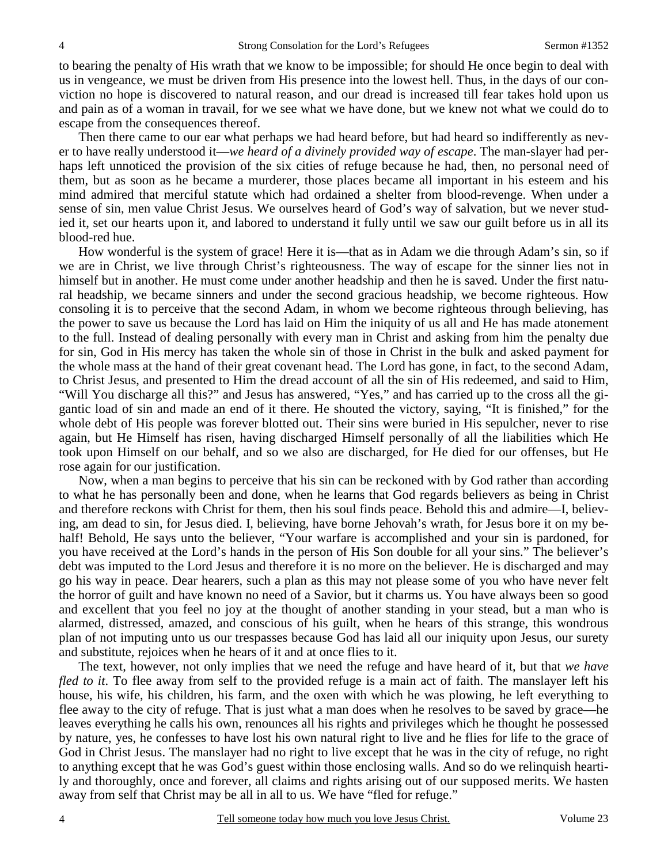to bearing the penalty of His wrath that we know to be impossible; for should He once begin to deal with us in vengeance, we must be driven from His presence into the lowest hell. Thus, in the days of our conviction no hope is discovered to natural reason, and our dread is increased till fear takes hold upon us and pain as of a woman in travail, for we see what we have done, but we knew not what we could do to escape from the consequences thereof.

Then there came to our ear what perhaps we had heard before, but had heard so indifferently as never to have really understood it—*we heard of a divinely provided way of escape*. The man-slayer had perhaps left unnoticed the provision of the six cities of refuge because he had, then, no personal need of them, but as soon as he became a murderer, those places became all important in his esteem and his mind admired that merciful statute which had ordained a shelter from blood-revenge. When under a sense of sin, men value Christ Jesus. We ourselves heard of God's way of salvation, but we never studied it, set our hearts upon it, and labored to understand it fully until we saw our guilt before us in all its blood-red hue.

How wonderful is the system of grace! Here it is—that as in Adam we die through Adam's sin, so if we are in Christ, we live through Christ's righteousness. The way of escape for the sinner lies not in himself but in another. He must come under another headship and then he is saved. Under the first natural headship, we became sinners and under the second gracious headship, we become righteous. How consoling it is to perceive that the second Adam, in whom we become righteous through believing, has the power to save us because the Lord has laid on Him the iniquity of us all and He has made atonement to the full. Instead of dealing personally with every man in Christ and asking from him the penalty due for sin, God in His mercy has taken the whole sin of those in Christ in the bulk and asked payment for the whole mass at the hand of their great covenant head. The Lord has gone, in fact, to the second Adam, to Christ Jesus, and presented to Him the dread account of all the sin of His redeemed, and said to Him, "Will You discharge all this?" and Jesus has answered, "Yes," and has carried up to the cross all the gigantic load of sin and made an end of it there. He shouted the victory, saying, "It is finished," for the whole debt of His people was forever blotted out. Their sins were buried in His sepulcher, never to rise again, but He Himself has risen, having discharged Himself personally of all the liabilities which He took upon Himself on our behalf, and so we also are discharged, for He died for our offenses, but He rose again for our justification.

Now, when a man begins to perceive that his sin can be reckoned with by God rather than according to what he has personally been and done, when he learns that God regards believers as being in Christ and therefore reckons with Christ for them, then his soul finds peace. Behold this and admire—I, believing, am dead to sin, for Jesus died. I, believing, have borne Jehovah's wrath, for Jesus bore it on my behalf! Behold, He says unto the believer, "Your warfare is accomplished and your sin is pardoned, for you have received at the Lord's hands in the person of His Son double for all your sins." The believer's debt was imputed to the Lord Jesus and therefore it is no more on the believer. He is discharged and may go his way in peace. Dear hearers, such a plan as this may not please some of you who have never felt the horror of guilt and have known no need of a Savior, but it charms us. You have always been so good and excellent that you feel no joy at the thought of another standing in your stead, but a man who is alarmed, distressed, amazed, and conscious of his guilt, when he hears of this strange, this wondrous plan of not imputing unto us our trespasses because God has laid all our iniquity upon Jesus, our surety and substitute, rejoices when he hears of it and at once flies to it.

The text, however, not only implies that we need the refuge and have heard of it, but that *we have fled to it*. To flee away from self to the provided refuge is a main act of faith. The manslayer left his house, his wife, his children, his farm, and the oxen with which he was plowing, he left everything to flee away to the city of refuge. That is just what a man does when he resolves to be saved by grace—he leaves everything he calls his own, renounces all his rights and privileges which he thought he possessed by nature, yes, he confesses to have lost his own natural right to live and he flies for life to the grace of God in Christ Jesus. The manslayer had no right to live except that he was in the city of refuge, no right to anything except that he was God's guest within those enclosing walls. And so do we relinquish heartily and thoroughly, once and forever, all claims and rights arising out of our supposed merits. We hasten away from self that Christ may be all in all to us. We have "fled for refuge."

4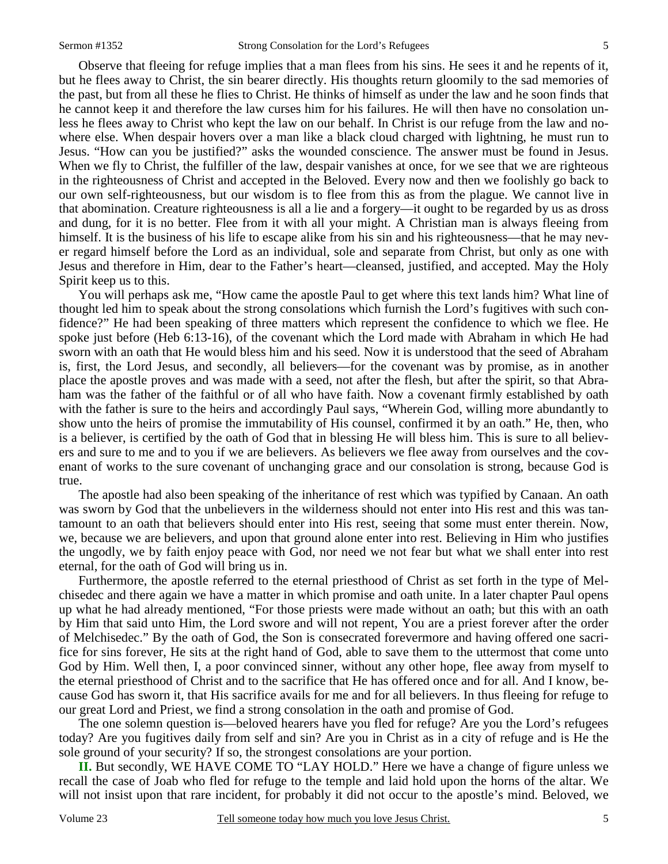Observe that fleeing for refuge implies that a man flees from his sins. He sees it and he repents of it, but he flees away to Christ, the sin bearer directly. His thoughts return gloomily to the sad memories of the past, but from all these he flies to Christ. He thinks of himself as under the law and he soon finds that he cannot keep it and therefore the law curses him for his failures. He will then have no consolation unless he flees away to Christ who kept the law on our behalf. In Christ is our refuge from the law and nowhere else. When despair hovers over a man like a black cloud charged with lightning, he must run to Jesus. "How can you be justified?" asks the wounded conscience. The answer must be found in Jesus. When we fly to Christ, the fulfiller of the law, despair vanishes at once, for we see that we are righteous in the righteousness of Christ and accepted in the Beloved. Every now and then we foolishly go back to our own self-righteousness, but our wisdom is to flee from this as from the plague. We cannot live in that abomination. Creature righteousness is all a lie and a forgery—it ought to be regarded by us as dross and dung, for it is no better. Flee from it with all your might. A Christian man is always fleeing from himself. It is the business of his life to escape alike from his sin and his righteousness—that he may never regard himself before the Lord as an individual, sole and separate from Christ, but only as one with Jesus and therefore in Him, dear to the Father's heart—cleansed, justified, and accepted. May the Holy Spirit keep us to this.

You will perhaps ask me, "How came the apostle Paul to get where this text lands him? What line of thought led him to speak about the strong consolations which furnish the Lord's fugitives with such confidence?" He had been speaking of three matters which represent the confidence to which we flee. He spoke just before (Heb 6:13-16), of the covenant which the Lord made with Abraham in which He had sworn with an oath that He would bless him and his seed. Now it is understood that the seed of Abraham is, first, the Lord Jesus, and secondly, all believers—for the covenant was by promise, as in another place the apostle proves and was made with a seed, not after the flesh, but after the spirit, so that Abraham was the father of the faithful or of all who have faith. Now a covenant firmly established by oath with the father is sure to the heirs and accordingly Paul says, "Wherein God, willing more abundantly to show unto the heirs of promise the immutability of His counsel, confirmed it by an oath." He, then, who is a believer, is certified by the oath of God that in blessing He will bless him. This is sure to all believers and sure to me and to you if we are believers. As believers we flee away from ourselves and the covenant of works to the sure covenant of unchanging grace and our consolation is strong, because God is true.

The apostle had also been speaking of the inheritance of rest which was typified by Canaan. An oath was sworn by God that the unbelievers in the wilderness should not enter into His rest and this was tantamount to an oath that believers should enter into His rest, seeing that some must enter therein. Now, we, because we are believers, and upon that ground alone enter into rest. Believing in Him who justifies the ungodly, we by faith enjoy peace with God, nor need we not fear but what we shall enter into rest eternal, for the oath of God will bring us in.

Furthermore, the apostle referred to the eternal priesthood of Christ as set forth in the type of Melchisedec and there again we have a matter in which promise and oath unite. In a later chapter Paul opens up what he had already mentioned, "For those priests were made without an oath; but this with an oath by Him that said unto Him, the Lord swore and will not repent, You are a priest forever after the order of Melchisedec." By the oath of God, the Son is consecrated forevermore and having offered one sacrifice for sins forever, He sits at the right hand of God, able to save them to the uttermost that come unto God by Him. Well then, I, a poor convinced sinner, without any other hope, flee away from myself to the eternal priesthood of Christ and to the sacrifice that He has offered once and for all. And I know, because God has sworn it, that His sacrifice avails for me and for all believers. In thus fleeing for refuge to our great Lord and Priest, we find a strong consolation in the oath and promise of God.

The one solemn question is—beloved hearers have you fled for refuge? Are you the Lord's refugees today? Are you fugitives daily from self and sin? Are you in Christ as in a city of refuge and is He the sole ground of your security? If so, the strongest consolations are your portion.

**II.** But secondly, WE HAVE COME TO "LAY HOLD." Here we have a change of figure unless we recall the case of Joab who fled for refuge to the temple and laid hold upon the horns of the altar. We will not insist upon that rare incident, for probably it did not occur to the apostle's mind. Beloved, we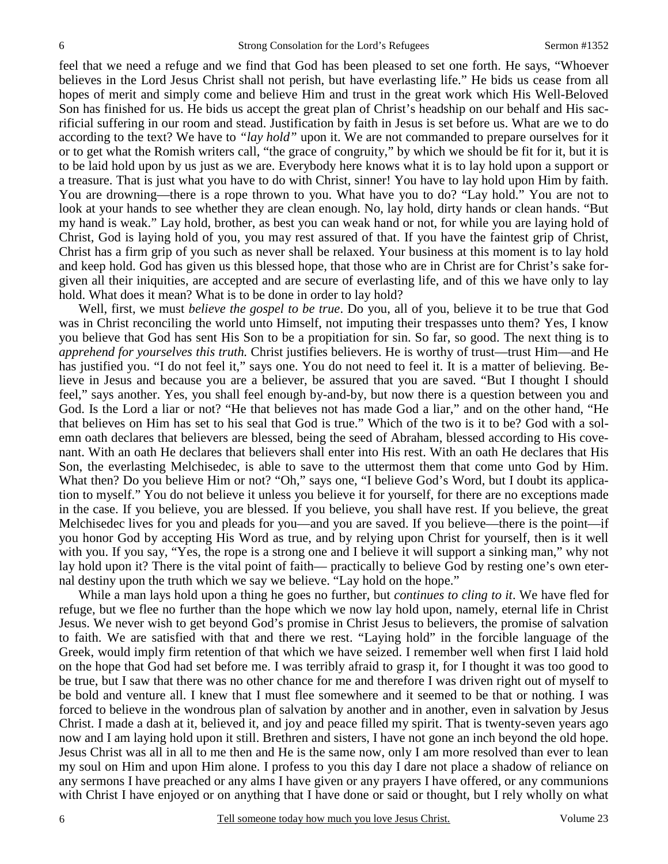feel that we need a refuge and we find that God has been pleased to set one forth. He says, "Whoever believes in the Lord Jesus Christ shall not perish, but have everlasting life." He bids us cease from all hopes of merit and simply come and believe Him and trust in the great work which His Well-Beloved Son has finished for us. He bids us accept the great plan of Christ's headship on our behalf and His sacrificial suffering in our room and stead. Justification by faith in Jesus is set before us. What are we to do according to the text? We have to *"lay hold"* upon it. We are not commanded to prepare ourselves for it or to get what the Romish writers call, "the grace of congruity," by which we should be fit for it, but it is to be laid hold upon by us just as we are. Everybody here knows what it is to lay hold upon a support or a treasure. That is just what you have to do with Christ, sinner! You have to lay hold upon Him by faith. You are drowning—there is a rope thrown to you. What have you to do? "Lay hold." You are not to look at your hands to see whether they are clean enough. No, lay hold, dirty hands or clean hands. "But my hand is weak." Lay hold, brother, as best you can weak hand or not, for while you are laying hold of Christ, God is laying hold of you, you may rest assured of that. If you have the faintest grip of Christ, Christ has a firm grip of you such as never shall be relaxed. Your business at this moment is to lay hold and keep hold. God has given us this blessed hope, that those who are in Christ are for Christ's sake forgiven all their iniquities, are accepted and are secure of everlasting life, and of this we have only to lay hold. What does it mean? What is to be done in order to lay hold?

Well, first, we must *believe the gospel to be true*. Do you, all of you, believe it to be true that God was in Christ reconciling the world unto Himself, not imputing their trespasses unto them? Yes, I know you believe that God has sent His Son to be a propitiation for sin. So far, so good. The next thing is to *apprehend for yourselves this truth.* Christ justifies believers. He is worthy of trust—trust Him—and He has justified you. "I do not feel it," says one. You do not need to feel it. It is a matter of believing. Believe in Jesus and because you are a believer, be assured that you are saved. "But I thought I should feel," says another. Yes, you shall feel enough by-and-by, but now there is a question between you and God. Is the Lord a liar or not? "He that believes not has made God a liar," and on the other hand, "He that believes on Him has set to his seal that God is true." Which of the two is it to be? God with a solemn oath declares that believers are blessed, being the seed of Abraham, blessed according to His covenant. With an oath He declares that believers shall enter into His rest. With an oath He declares that His Son, the everlasting Melchisedec, is able to save to the uttermost them that come unto God by Him. What then? Do you believe Him or not? "Oh," says one, "I believe God's Word, but I doubt its application to myself." You do not believe it unless you believe it for yourself, for there are no exceptions made in the case. If you believe, you are blessed. If you believe, you shall have rest. If you believe, the great Melchisedec lives for you and pleads for you—and you are saved. If you believe—there is the point—if you honor God by accepting His Word as true, and by relying upon Christ for yourself, then is it well with you. If you say, "Yes, the rope is a strong one and I believe it will support a sinking man," why not lay hold upon it? There is the vital point of faith— practically to believe God by resting one's own eternal destiny upon the truth which we say we believe. "Lay hold on the hope."

While a man lays hold upon a thing he goes no further, but *continues to cling to it*. We have fled for refuge, but we flee no further than the hope which we now lay hold upon, namely, eternal life in Christ Jesus. We never wish to get beyond God's promise in Christ Jesus to believers, the promise of salvation to faith. We are satisfied with that and there we rest. "Laying hold" in the forcible language of the Greek, would imply firm retention of that which we have seized. I remember well when first I laid hold on the hope that God had set before me. I was terribly afraid to grasp it, for I thought it was too good to be true, but I saw that there was no other chance for me and therefore I was driven right out of myself to be bold and venture all. I knew that I must flee somewhere and it seemed to be that or nothing. I was forced to believe in the wondrous plan of salvation by another and in another, even in salvation by Jesus Christ. I made a dash at it, believed it, and joy and peace filled my spirit. That is twenty-seven years ago now and I am laying hold upon it still. Brethren and sisters, I have not gone an inch beyond the old hope. Jesus Christ was all in all to me then and He is the same now, only I am more resolved than ever to lean my soul on Him and upon Him alone. I profess to you this day I dare not place a shadow of reliance on any sermons I have preached or any alms I have given or any prayers I have offered, or any communions with Christ I have enjoyed or on anything that I have done or said or thought, but I rely wholly on what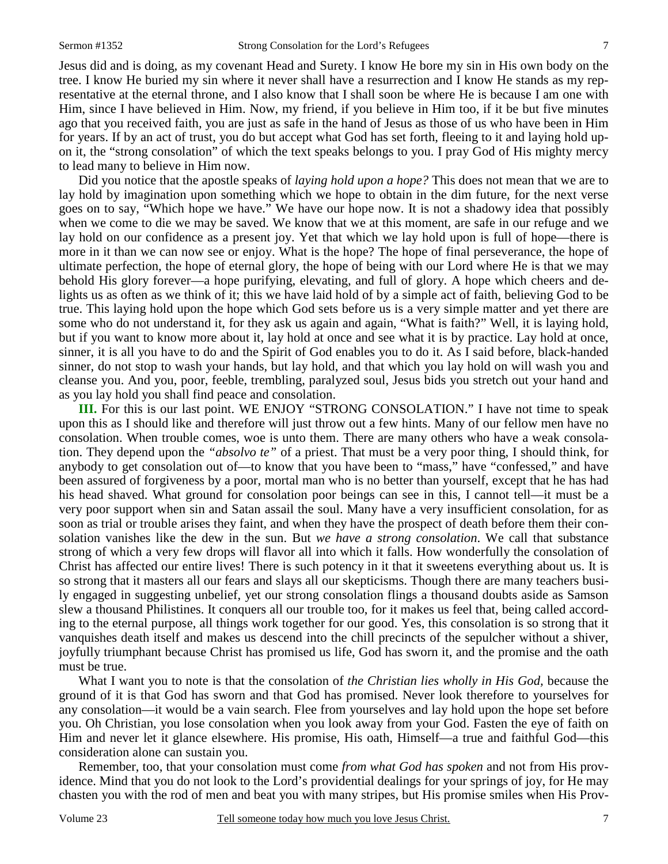Jesus did and is doing, as my covenant Head and Surety. I know He bore my sin in His own body on the tree. I know He buried my sin where it never shall have a resurrection and I know He stands as my representative at the eternal throne, and I also know that I shall soon be where He is because I am one with Him, since I have believed in Him. Now, my friend, if you believe in Him too, if it be but five minutes ago that you received faith, you are just as safe in the hand of Jesus as those of us who have been in Him for years. If by an act of trust, you do but accept what God has set forth, fleeing to it and laying hold upon it, the "strong consolation" of which the text speaks belongs to you. I pray God of His mighty mercy to lead many to believe in Him now.

Did you notice that the apostle speaks of *laying hold upon a hope?* This does not mean that we are to lay hold by imagination upon something which we hope to obtain in the dim future, for the next verse goes on to say, "Which hope we have." We have our hope now. It is not a shadowy idea that possibly when we come to die we may be saved. We know that we at this moment, are safe in our refuge and we lay hold on our confidence as a present joy. Yet that which we lay hold upon is full of hope—there is more in it than we can now see or enjoy. What is the hope? The hope of final perseverance, the hope of ultimate perfection, the hope of eternal glory, the hope of being with our Lord where He is that we may behold His glory forever—a hope purifying, elevating, and full of glory. A hope which cheers and delights us as often as we think of it; this we have laid hold of by a simple act of faith, believing God to be true. This laying hold upon the hope which God sets before us is a very simple matter and yet there are some who do not understand it, for they ask us again and again, "What is faith?" Well, it is laying hold, but if you want to know more about it, lay hold at once and see what it is by practice. Lay hold at once, sinner, it is all you have to do and the Spirit of God enables you to do it. As I said before, black-handed sinner, do not stop to wash your hands, but lay hold, and that which you lay hold on will wash you and cleanse you. And you, poor, feeble, trembling, paralyzed soul, Jesus bids you stretch out your hand and as you lay hold you shall find peace and consolation.

**III.** For this is our last point. WE ENJOY "STRONG CONSOLATION." I have not time to speak upon this as I should like and therefore will just throw out a few hints. Many of our fellow men have no consolation. When trouble comes, woe is unto them. There are many others who have a weak consolation. They depend upon the *"absolvo te"* of a priest. That must be a very poor thing, I should think, for anybody to get consolation out of—to know that you have been to "mass," have "confessed," and have been assured of forgiveness by a poor, mortal man who is no better than yourself, except that he has had his head shaved. What ground for consolation poor beings can see in this, I cannot tell—it must be a very poor support when sin and Satan assail the soul. Many have a very insufficient consolation, for as soon as trial or trouble arises they faint, and when they have the prospect of death before them their consolation vanishes like the dew in the sun. But *we have a strong consolation*. We call that substance strong of which a very few drops will flavor all into which it falls. How wonderfully the consolation of Christ has affected our entire lives! There is such potency in it that it sweetens everything about us. It is so strong that it masters all our fears and slays all our skepticisms. Though there are many teachers busily engaged in suggesting unbelief, yet our strong consolation flings a thousand doubts aside as Samson slew a thousand Philistines. It conquers all our trouble too, for it makes us feel that, being called according to the eternal purpose, all things work together for our good. Yes, this consolation is so strong that it vanquishes death itself and makes us descend into the chill precincts of the sepulcher without a shiver, joyfully triumphant because Christ has promised us life, God has sworn it, and the promise and the oath must be true.

What I want you to note is that the consolation of *the Christian lies wholly in His God,* because the ground of it is that God has sworn and that God has promised. Never look therefore to yourselves for any consolation—it would be a vain search. Flee from yourselves and lay hold upon the hope set before you. Oh Christian, you lose consolation when you look away from your God. Fasten the eye of faith on Him and never let it glance elsewhere. His promise, His oath, Himself—a true and faithful God—this consideration alone can sustain you.

Remember, too, that your consolation must come *from what God has spoken* and not from His providence. Mind that you do not look to the Lord's providential dealings for your springs of joy, for He may chasten you with the rod of men and beat you with many stripes, but His promise smiles when His Prov